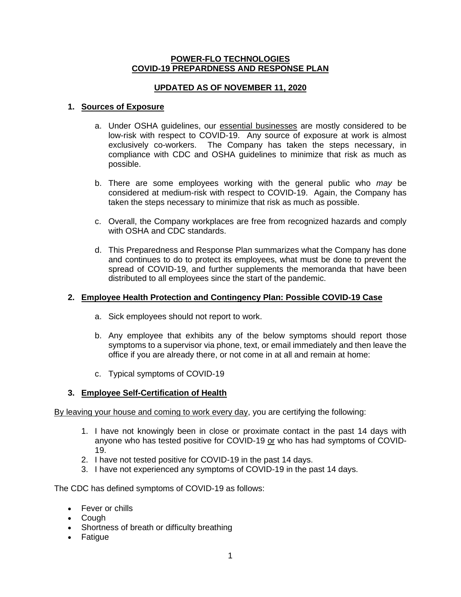### **POWER-FLO TECHNOLOGIES COVID-19 PREPARDNESS AND RESPONSE PLAN**

# **UPDATED AS OF NOVEMBER 11, 2020**

### **1. Sources of Exposure**

- a. Under OSHA guidelines, our essential businesses are mostly considered to be low-risk with respect to COVID-19. Any source of exposure at work is almost exclusively co-workers. The Company has taken the steps necessary, in compliance with CDC and OSHA guidelines to minimize that risk as much as possible.
- b. There are some employees working with the general public who *may* be considered at medium-risk with respect to COVID-19. Again, the Company has taken the steps necessary to minimize that risk as much as possible.
- c. Overall, the Company workplaces are free from recognized hazards and comply with OSHA and CDC standards.
- d. This Preparedness and Response Plan summarizes what the Company has done and continues to do to protect its employees, what must be done to prevent the spread of COVID-19, and further supplements the memoranda that have been distributed to all employees since the start of the pandemic.

# **2. Employee Health Protection and Contingency Plan: Possible COVID-19 Case**

- a. Sick employees should not report to work.
- b. Any employee that exhibits any of the below symptoms should report those symptoms to a supervisor via phone, text, or email immediately and then leave the office if you are already there, or not come in at all and remain at home:
- c. Typical symptoms of COVID-19

#### **3. Employee Self-Certification of Health**

By leaving your house and coming to work every day, you are certifying the following:

- 1. I have not knowingly been in close or proximate contact in the past 14 days with anyone who has tested positive for COVID-19 or who has had symptoms of COVID-19.
- 2. I have not tested positive for COVID-19 in the past 14 days.
- 3. I have not experienced any symptoms of COVID-19 in the past 14 days.

The CDC has defined symptoms of COVID-19 as follows:

- Fever or chills
- Cough
- Shortness of breath or difficulty breathing
- Fatigue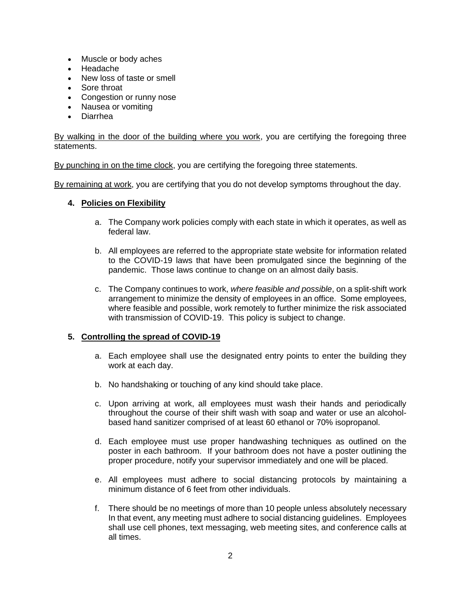- Muscle or body aches
- Headache
- New loss of taste or smell
- Sore throat
- Congestion or runny nose
- Nausea or vomiting
- Diarrhea

By walking in the door of the building where you work, you are certifying the foregoing three statements.

By punching in on the time clock, you are certifying the foregoing three statements.

By remaining at work, you are certifying that you do not develop symptoms throughout the day.

# **4. Policies on Flexibility**

- a. The Company work policies comply with each state in which it operates, as well as federal law.
- b. All employees are referred to the appropriate state website for information related to the COVID-19 laws that have been promulgated since the beginning of the pandemic. Those laws continue to change on an almost daily basis.
- c. The Company continues to work, *where feasible and possible*, on a split-shift work arrangement to minimize the density of employees in an office. Some employees, where feasible and possible, work remotely to further minimize the risk associated with transmission of COVID-19. This policy is subject to change.

# **5. Controlling the spread of COVID-19**

- a. Each employee shall use the designated entry points to enter the building they work at each day.
- b. No handshaking or touching of any kind should take place.
- c. Upon arriving at work, all employees must wash their hands and periodically throughout the course of their shift wash with soap and water or use an alcoholbased hand sanitizer comprised of at least 60 ethanol or 70% isopropanol.
- d. Each employee must use proper handwashing techniques as outlined on the poster in each bathroom. If your bathroom does not have a poster outlining the proper procedure, notify your supervisor immediately and one will be placed.
- e. All employees must adhere to social distancing protocols by maintaining a minimum distance of 6 feet from other individuals.
- f. There should be no meetings of more than 10 people unless absolutely necessary In that event, any meeting must adhere to social distancing guidelines. Employees shall use cell phones, text messaging, web meeting sites, and conference calls at all times.